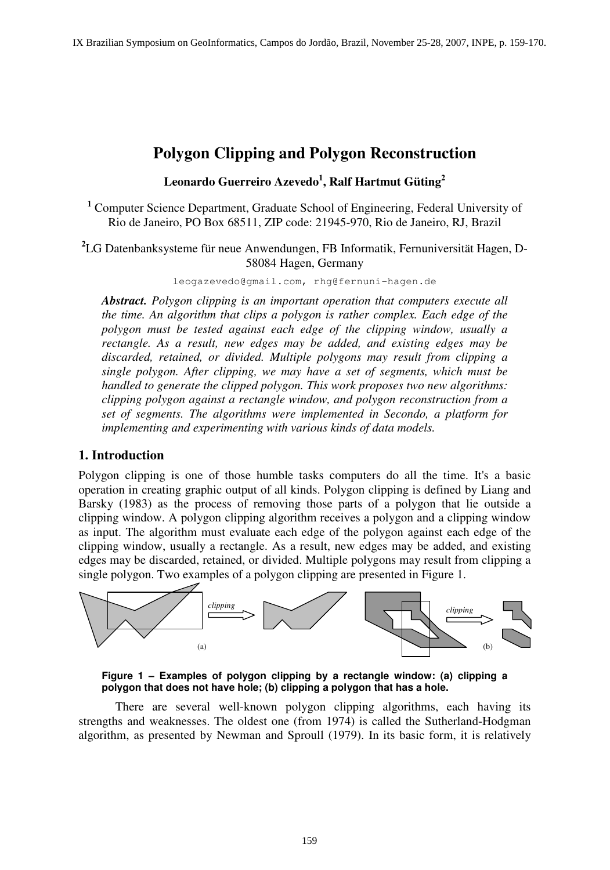# **Polygon Clipping and Polygon Reconstruction**

# **Leonardo Guerreiro Azevedo<sup>1</sup> , Ralf Hartmut Güting<sup>2</sup>**

<sup>1</sup> Computer Science Department, Graduate School of Engineering, Federal University of Rio de Janeiro, PO Box 68511, ZIP code: 21945-970, Rio de Janeiro, RJ, Brazil

**2** LG Datenbanksysteme für neue Anwendungen, FB Informatik, Fernuniversität Hagen, D-58084 Hagen, Germany

leogazevedo@gmail.com, rhg@fernuni-hagen.de

*Abstract. Polygon clipping is an important operation that computers execute all the time. An algorithm that clips a polygon is rather complex. Each edge of the polygon must be tested against each edge of the clipping window, usually a rectangle. As a result, new edges may be added, and existing edges may be discarded, retained, or divided. Multiple polygons may result from clipping a single polygon. After clipping, we may have a set of segments, which must be handled to generate the clipped polygon. This work proposes two new algorithms: clipping polygon against a rectangle window, and polygon reconstruction from a set of segments. The algorithms were implemented in Secondo, a platform for implementing and experimenting with various kinds of data models.* 

# **1. Introduction**

Polygon clipping is one of those humble tasks computers do all the time. It's a basic operation in creating graphic output of all kinds. Polygon clipping is defined by Liang and Barsky (1983) as the process of removing those parts of a polygon that lie outside a clipping window. A polygon clipping algorithm receives a polygon and a clipping window as input. The algorithm must evaluate each edge of the polygon against each edge of the clipping window, usually a rectangle. As a result, new edges may be added, and existing edges may be discarded, retained, or divided. Multiple polygons may result from clipping a single polygon. Two examples of a polygon clipping are presented in Figure 1.



**Figure 1 – Examples of polygon clipping by a rectangle window: (a) clipping a polygon that does not have hole; (b) clipping a polygon that has a hole.** 

There are several well-known polygon clipping algorithms, each having its strengths and weaknesses. The oldest one (from 1974) is called the Sutherland-Hodgman algorithm, as presented by Newman and Sproull (1979). In its basic form, it is relatively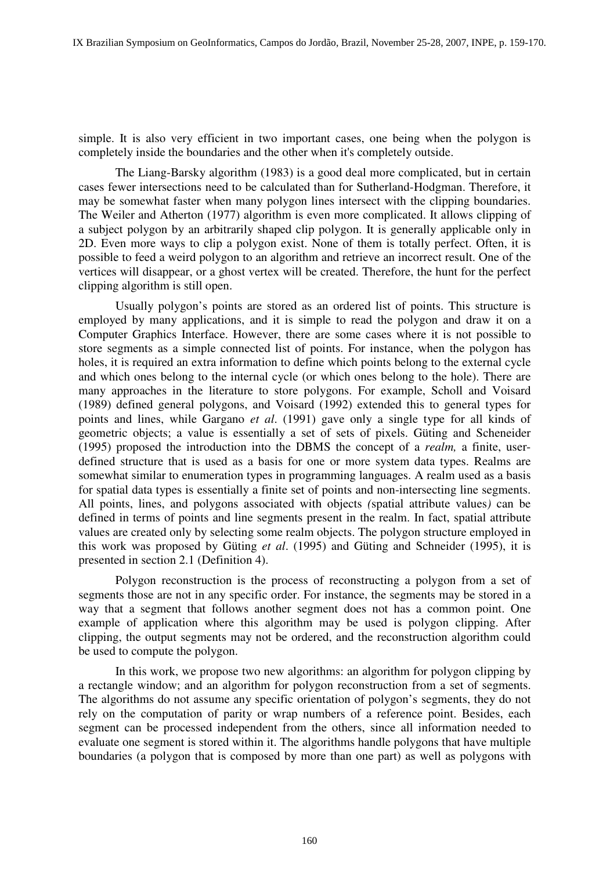simple. It is also very efficient in two important cases, one being when the polygon is completely inside the boundaries and the other when it's completely outside.

The Liang-Barsky algorithm (1983) is a good deal more complicated, but in certain cases fewer intersections need to be calculated than for Sutherland-Hodgman. Therefore, it may be somewhat faster when many polygon lines intersect with the clipping boundaries. The Weiler and Atherton (1977) algorithm is even more complicated. It allows clipping of a subject polygon by an arbitrarily shaped clip polygon. It is generally applicable only in 2D. Even more ways to clip a polygon exist. None of them is totally perfect. Often, it is possible to feed a weird polygon to an algorithm and retrieve an incorrect result. One of the vertices will disappear, or a ghost vertex will be created. Therefore, the hunt for the perfect clipping algorithm is still open.

Usually polygon's points are stored as an ordered list of points. This structure is employed by many applications, and it is simple to read the polygon and draw it on a Computer Graphics Interface. However, there are some cases where it is not possible to store segments as a simple connected list of points. For instance, when the polygon has holes, it is required an extra information to define which points belong to the external cycle and which ones belong to the internal cycle (or which ones belong to the hole). There are many approaches in the literature to store polygons. For example, Scholl and Voisard (1989) defined general polygons, and Voisard (1992) extended this to general types for points and lines, while Gargano *et al*. (1991) gave only a single type for all kinds of geometric objects; a value is essentially a set of sets of pixels. Güting and Scheneider (1995) proposed the introduction into the DBMS the concept of a *realm,* a finite, userdefined structure that is used as a basis for one or more system data types. Realms are somewhat similar to enumeration types in programming languages. A realm used as a basis for spatial data types is essentially a finite set of points and non-intersecting line segments. All points, lines, and polygons associated with objects *(*spatial attribute values*)* can be defined in terms of points and line segments present in the realm. In fact, spatial attribute values are created only by selecting some realm objects. The polygon structure employed in this work was proposed by Güting *et al*. (1995) and Güting and Schneider (1995), it is presented in section 2.1 (Definition 4).

Polygon reconstruction is the process of reconstructing a polygon from a set of segments those are not in any specific order. For instance, the segments may be stored in a way that a segment that follows another segment does not has a common point. One example of application where this algorithm may be used is polygon clipping. After clipping, the output segments may not be ordered, and the reconstruction algorithm could be used to compute the polygon.

In this work, we propose two new algorithms: an algorithm for polygon clipping by a rectangle window; and an algorithm for polygon reconstruction from a set of segments. The algorithms do not assume any specific orientation of polygon's segments, they do not rely on the computation of parity or wrap numbers of a reference point. Besides, each segment can be processed independent from the others, since all information needed to evaluate one segment is stored within it. The algorithms handle polygons that have multiple boundaries (a polygon that is composed by more than one part) as well as polygons with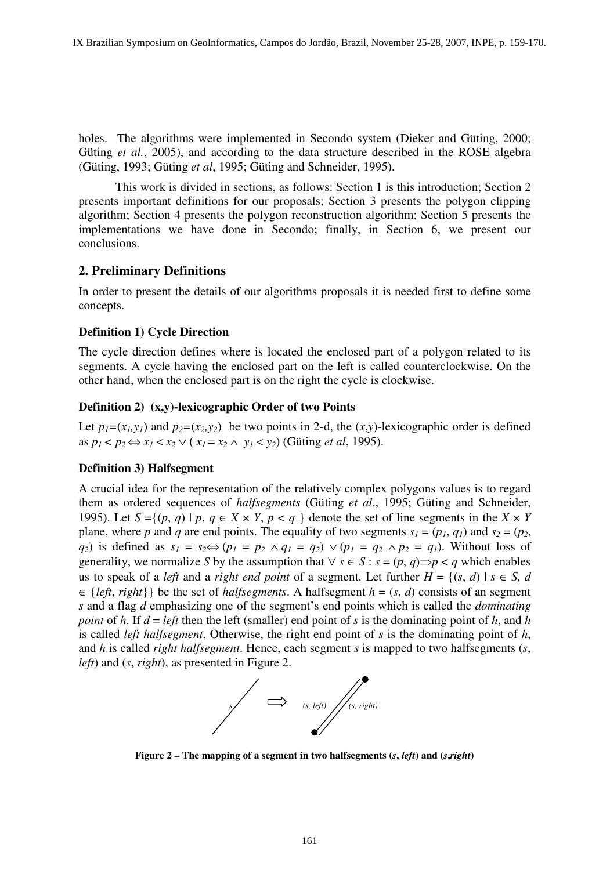holes. The algorithms were implemented in Secondo system (Dieker and Güting, 2000; Güting *et al.*, 2005), and according to the data structure described in the ROSE algebra (Güting, 1993; Güting *et al*, 1995; Güting and Schneider, 1995).

This work is divided in sections, as follows: Section 1 is this introduction; Section 2 presents important definitions for our proposals; Section 3 presents the polygon clipping algorithm; Section 4 presents the polygon reconstruction algorithm; Section 5 presents the implementations we have done in Secondo; finally, in Section 6, we present our conclusions.

### **2. Preliminary Definitions**

In order to present the details of our algorithms proposals it is needed first to define some concepts.

#### **Definition 1) Cycle Direction**

The cycle direction defines where is located the enclosed part of a polygon related to its segments. A cycle having the enclosed part on the left is called counterclockwise. On the other hand, when the enclosed part is on the right the cycle is clockwise.

#### **Definition 2) (x,y)-lexicographic Order of two Points**

Let  $p_1 = (x_1, y_1)$  and  $p_2 = (x_2, y_2)$  be two points in 2-d, the  $(x, y)$ -lexicographic order is defined as *p*<sub>1</sub> < *p*<sub>2</sub> ⇔ *x*<sub>1</sub> < *x*<sub>2</sub> ∨ (*x*<sub>1</sub> = *x*<sub>2</sub> ∧ *y*<sub>1</sub> < *y*<sub>2</sub>) (Gütting *et al*, 1995).

#### **Definition 3) Halfsegment**

A crucial idea for the representation of the relatively complex polygons values is to regard them as ordered sequences of *halfsegments* (Güting *et al*., 1995; Güting and Schneider, 1995). Let  $S = \{(p, q) \mid p, q \in X \times Y, p < q \}$  denote the set of line segments in the  $X \times Y$ plane, where *p* and *q* are end points. The equality of two segments  $s_1 = (p_1, q_1)$  and  $s_2 = (p_2,$  $q_2$ ) is defined as  $s_1 = s_2 \Leftrightarrow (p_1 = p_2 \land q_1 = q_2) \lor (p_1 = q_2 \land p_2 = q_1)$ . Without loss of generality, we normalize *S* by the assumption that  $\forall s \in S : s = (p, q) \implies p < q$  which enables us to speak of a *left* and a *right end point* of a segment. Let further  $H = \{(s, d) | s \in S, d\}$  $\in$  {*left*, *right*}} be the set of *halfsegments*. A halfsegment *h* = (*s*, *d*) consists of an segment *s* and a flag *d* emphasizing one of the segment's end points which is called the *dominating point* of *h*. If  $d = left$  then the left (smaller) end point of *s* is the dominating point of *h*, and *h* is called *left halfsegment*. Otherwise, the right end point of *s* is the dominating point of *h*, and *h* is called *right halfsegment*. Hence, each segment *s* is mapped to two halfsegments (*s*, *left*) and (*s*, *right*), as presented in Figure 2.



**Figure 2 – The mapping of a segment in two halfsegments (***s***,** *left***) and (***s***,***right***)**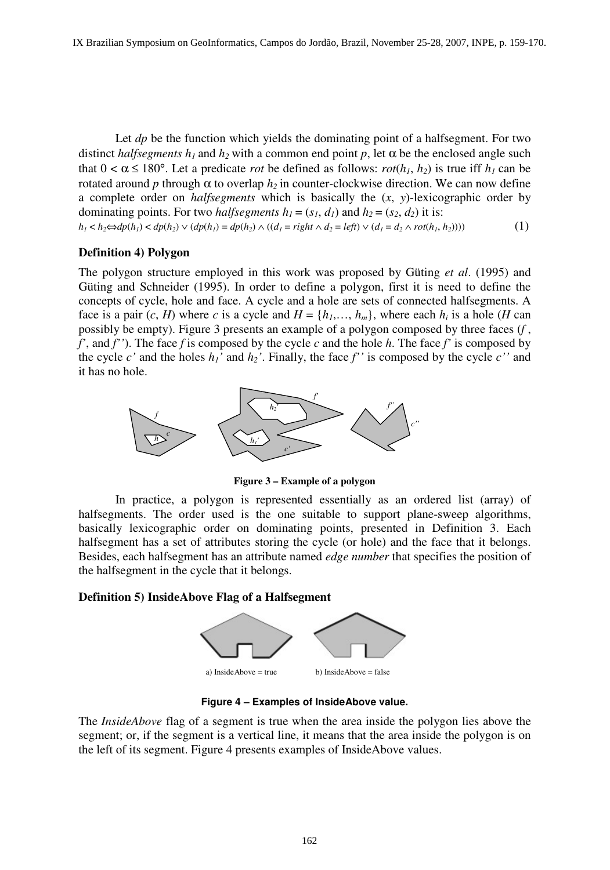Let *dp* be the function which yields the dominating point of a halfsegment. For two distinct *halfsegments*  $h_1$  and  $h_2$  with a common end point  $p$ , let  $\alpha$  be the enclosed angle such that  $0 < \alpha \le 180^{\circ}$ . Let a predicate *rot* be defined as follows: *rot*( $h_1$ ,  $h_2$ ) is true iff  $h_1$  can be rotated around *p* through α to overlap  $h_2$  in counter-clockwise direction. We can now define a complete order on *halfsegments* which is basically the (*x*, *y*)-lexicographic order by dominating points. For two *halfsegments*  $h_1 = (s_1, d_1)$  and  $h_2 = (s_2, d_2)$  it is:

 $h_1 < h_2 \Leftrightarrow dp(h_1) < dp(h_2) \vee (dp(h_1) = dp(h_2) \wedge ((d_1 = right \wedge d_2 = left) \vee (d_1 = d_2 \wedge rot(h_1, h_2))))$  (1)

#### **Definition 4) Polygon**

The polygon structure employed in this work was proposed by Güting *et al*. (1995) and Güting and Schneider (1995). In order to define a polygon, first it is need to define the concepts of cycle, hole and face. A cycle and a hole are sets of connected halfsegments. A face is a pair  $(c, H)$  where *c* is a cycle and  $H = \{h_1, \ldots, h_m\}$ , where each  $h_i$  is a hole  $(H \text{ can})$ possibly be empty). Figure 3 presents an example of a polygon composed by three faces (*f* , *f'*, and *f''*). The face *f* is composed by the cycle *c* and the hole *h*. The face *f'* is composed by the cycle  $c'$  and the holes  $h_1'$  and  $h_2'$ . Finally, the face  $f''$  is composed by the cycle  $c''$  and it has no hole.



**Figure 3 – Example of a polygon** 

In practice, a polygon is represented essentially as an ordered list (array) of halfsegments. The order used is the one suitable to support plane-sweep algorithms, basically lexicographic order on dominating points, presented in Definition 3. Each halfsegment has a set of attributes storing the cycle (or hole) and the face that it belongs. Besides, each halfsegment has an attribute named *edge number* that specifies the position of the halfsegment in the cycle that it belongs.

#### **Definition 5) InsideAbove Flag of a Halfsegment**



**Figure 4 – Examples of InsideAbove value.** 

The *InsideAbove* flag of a segment is true when the area inside the polygon lies above the segment; or, if the segment is a vertical line, it means that the area inside the polygon is on the left of its segment. Figure 4 presents examples of InsideAbove values.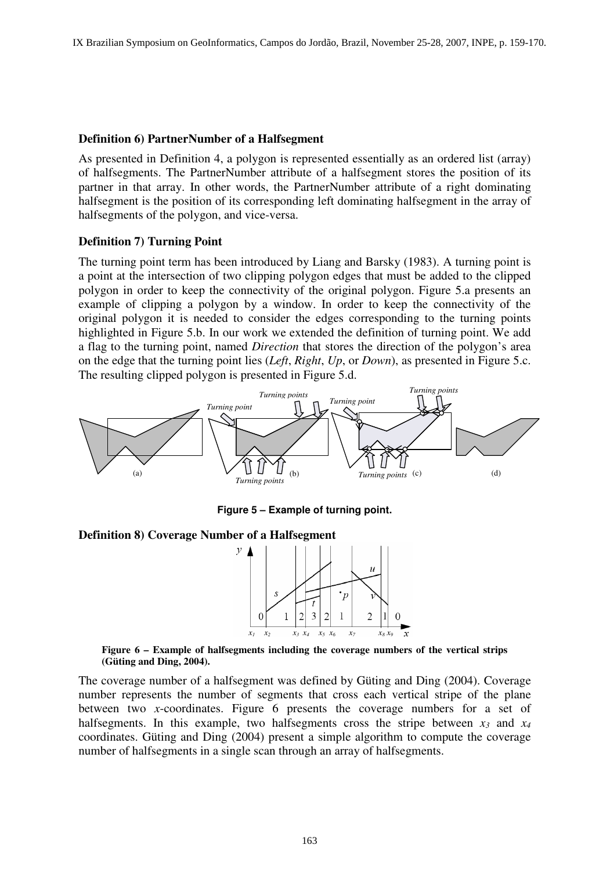#### **Definition 6) PartnerNumber of a Halfsegment**

As presented in Definition 4, a polygon is represented essentially as an ordered list (array) of halfsegments. The PartnerNumber attribute of a halfsegment stores the position of its partner in that array. In other words, the PartnerNumber attribute of a right dominating halfsegment is the position of its corresponding left dominating halfsegment in the array of halfsegments of the polygon, and vice-versa.

#### **Definition 7) Turning Point**

The turning point term has been introduced by Liang and Barsky (1983). A turning point is a point at the intersection of two clipping polygon edges that must be added to the clipped polygon in order to keep the connectivity of the original polygon. Figure 5.a presents an example of clipping a polygon by a window. In order to keep the connectivity of the original polygon it is needed to consider the edges corresponding to the turning points highlighted in Figure 5.b. In our work we extended the definition of turning point. We add a flag to the turning point, named *Direction* that stores the direction of the polygon's area on the edge that the turning point lies (*Left*, *Right*, *Up*, or *Down*), as presented in Figure 5.c. The resulting clipped polygon is presented in Figure 5.d.



**Figure 5 – Example of turning point.** 

#### **Definition 8) Coverage Number of a Halfsegment**



**Figure 6 – Example of halfsegments including the coverage numbers of the vertical strips (Güting and Ding, 2004).** 

The coverage number of a halfsegment was defined by Güting and Ding (2004). Coverage number represents the number of segments that cross each vertical stripe of the plane between two *x*-coordinates. Figure 6 presents the coverage numbers for a set of halfsegments. In this example, two halfsegments cross the stripe between  $x_3$  and  $x_4$ coordinates. Güting and Ding (2004) present a simple algorithm to compute the coverage number of halfsegments in a single scan through an array of halfsegments.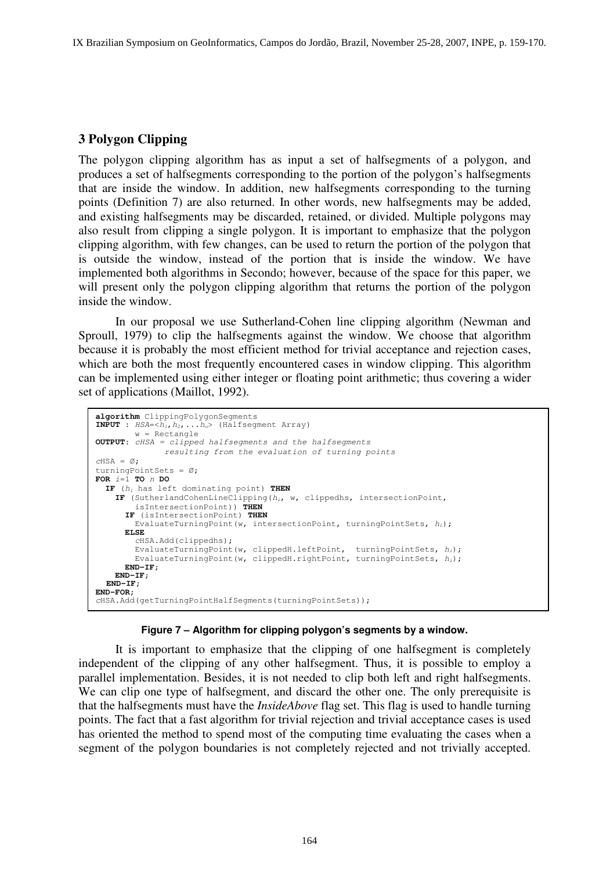# **3 Polygon Clipping**

The polygon clipping algorithm has as input a set of halfsegments of a polygon, and produces a set of halfsegments corresponding to the portion of the polygon's halfsegments that are inside the window. In addition, new halfsegments corresponding to the turning points (Definition 7) are also returned. In other words, new halfsegments may be added, and existing halfsegments may be discarded, retained, or divided. Multiple polygons may also result from clipping a single polygon. It is important to emphasize that the polygon clipping algorithm, with few changes, can be used to return the portion of the polygon that is outside the window, instead of the portion that is inside the window. We have implemented both algorithms in Secondo; however, because of the space for this paper, we will present only the polygon clipping algorithm that returns the portion of the polygon inside the window.

In our proposal we use Sutherland-Cohen line clipping algorithm (Newman and Sproull, 1979) to clip the halfsegments against the window. We choose that algorithm because it is probably the most efficient method for trivial acceptance and rejection cases, which are both the most frequently encountered cases in window clipping. This algorithm can be implemented using either integer or floating point arithmetic; thus covering a wider set of applications (Maillot, 1992).

```
algorithm ClippingPolygonSegments
INPUT : HSA=<h_1, h_2, \ldots h_n> (Halfsegment Array)
        w = Rectangle
OUTPUT: cHSA = clipped halfsegments and the halfsegments 
               resulting from the evaluation of turning points 
CHSA = \emptyset:
turningPointSets = Ø; 
FOR i=1 TO n DO
   IF (hi has left dominating point) THEN
     IF (SutherlandCohenLineClipping(hi, w, clippedhs, intersectionPoint, 
         isIntersectionPoint)) THEN
       IF (isIntersectionPoint) THEN
         EvaluateTurningPoint(w, intersectionPoint, turningPointSets, hi); 
       ELSE
         cHSA.Add(clippedhs); 
        EvaluateTurningPoint(w, clippedH.leftPoint, turningPointSets, h_i);
        EvaluateTurningPoint(w, clippedH.rightPoint, turningPointSets, hi);
       END-IF; 
     END-IF; 
  END-IF; 
END-FOR; 
cHSA.Add(getTurningPointHalfSegments(turningPointSets));
```
#### **Figure 7 – Algorithm for clipping polygon's segments by a window.**

It is important to emphasize that the clipping of one halfsegment is completely independent of the clipping of any other halfsegment. Thus, it is possible to employ a parallel implementation. Besides, it is not needed to clip both left and right halfsegments. We can clip one type of halfsegment, and discard the other one. The only prerequisite is that the halfsegments must have the *InsideAbove* flag set. This flag is used to handle turning points. The fact that a fast algorithm for trivial rejection and trivial acceptance cases is used has oriented the method to spend most of the computing time evaluating the cases when a segment of the polygon boundaries is not completely rejected and not trivially accepted.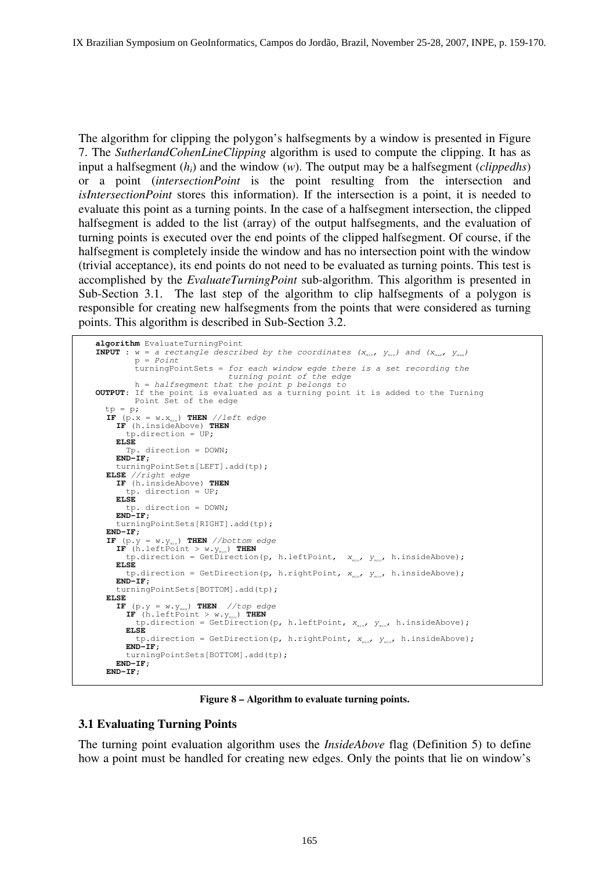The algorithm for clipping the polygon's halfsegments by a window is presented in Figure 7. The *SutherlandCohenLineClipping* algorithm is used to compute the clipping. It has as input a halfsegment (*hi*) and the window (*w*). The output may be a halfsegment (*clippedhs*) or a point (*intersectionPoint* is the point resulting from the intersection and *isIntersectionPoint* stores this information). If the intersection is a point, it is needed to evaluate this point as a turning points. In the case of a halfsegment intersection, the clipped halfsegment is added to the list (array) of the output halfsegments, and the evaluation of turning points is executed over the end points of the clipped halfsegment. Of course, if the halfsegment is completely inside the window and has no intersection point with the window (trivial acceptance), its end points do not need to be evaluated as turning points. This test is accomplished by the *EvaluateTurningPoint* sub-algorithm. This algorithm is presented in Sub-Section 3.1. The last step of the algorithm to clip halfsegments of a polygon is responsible for creating new halfsegments from the points that were considered as turning points. This algorithm is described in Sub-Section 3.2.

```
algorithm EvaluateTurningPoint
INPUT : w = a rectangle described by the coordinates (X_{min}, Y_{min}) and (X_{max}, Y_{max})
         p = Point turningPointSets = for each window egde there is a set recording the 
                                 turning point of the edge 
 h = halfsegment that the point p belongs to 
OUTPUT: If the point is evaluated as a turning point it is added to the Turning 
 Point Set of the edge
tp = p;IF (p \cdot x = w \cdot x_{min}) THEN //left edge
     IF (h.insideAbove) THEN
   tp.direction = UP; 
   ELSE
        Tp. direction = DOWN; 
     END-IF; 
      turningPointSets[LEFT].add(tp); 
  ELSE //right edge 
     IF (h.insideAbove) THEN
   tp. direction = UP; 
   ELSE
        tp. direction = DOWN; 
     END-IF; 
      turningPointSets[RIGHT].add(tp); 
  END-IF; 
  IF (p.y = w \cdot y_{min}) THEN //bottom edge
   IF (h.leftPoint > w \cdot y_{min}) THEN
  tp.direction = GetDirection(p, h.leftPoint, x_{min}, y_{min}, h.insideAbove);
     ELSE 
       tp.direction = GetDirection(p, h.rightPoint, x_{min}, y_{min}, h.insideAbove);
     END-IF; 
      turningPointSets[BOTTOM].add(tp); 
  ELSE 
     IF (p \cdot y = w \cdot y_{max}) THEN //top edge
       \mathbf{IF} (h.leftPoint > w.y<sub>min</sub>) THEN
          tp.direction = GetDirection(p, h.leftPoint, x_{min}, y_{min}, h.insideAbove);
        ELSE 
         tp.direction = GetDirection(p, h.rightPoint, x_{min}, y_{min}, h.insideAbove);
        END-IF; 
        turningPointSets[BOTTOM].add(tp); 
     END-IF; 
  END-IF;
```
#### **Figure 8 – Algorithm to evaluate turning points.**

#### **3.1 Evaluating Turning Points**

The turning point evaluation algorithm uses the *InsideAbove* flag (Definition 5) to define how a point must be handled for creating new edges. Only the points that lie on window's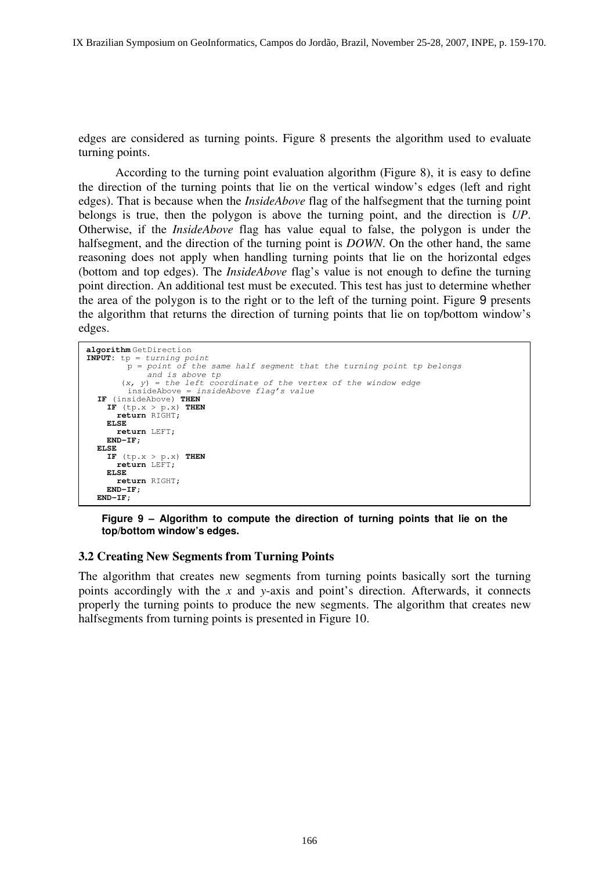edges are considered as turning points. Figure 8 presents the algorithm used to evaluate turning points.

According to the turning point evaluation algorithm (Figure 8), it is easy to define the direction of the turning points that lie on the vertical window's edges (left and right edges). That is because when the *InsideAbove* flag of the halfsegment that the turning point belongs is true, then the polygon is above the turning point, and the direction is *UP*. Otherwise, if the *InsideAbove* flag has value equal to false, the polygon is under the halfsegment, and the direction of the turning point is *DOWN*. On the other hand, the same reasoning does not apply when handling turning points that lie on the horizontal edges (bottom and top edges). The *InsideAbove* flag's value is not enough to define the turning point direction. An additional test must be executed. This test has just to determine whether the area of the polygon is to the right or to the left of the turning point. Figure 9 presents the algorithm that returns the direction of turning points that lie on top/bottom window's edges.

```
algorithm GetDirection
INPUT: tp = turning point 
         p = point of the same half segment that the turning point tp belongs 
         and is above tp 
       (x, y) = the left coordinate of the vertex of the window edge
         insideAbove = insideAbove flag's value 
  IF (insideAbove) THEN
    IF (tp.x > p.x) THEN
       return RIGHT; 
     ELSE
       return LEFT; 
     END-IF; 
  ELSE 
     IF (tp.x > p.x) THEN
       return LEFT; 
     ELSE
       return RIGHT; 
     END-IF; 
  END-IF;
```
**Figure 9 – Algorithm to compute the direction of turning points that lie on the top/bottom window's edges.** 

#### **3.2 Creating New Segments from Turning Points**

The algorithm that creates new segments from turning points basically sort the turning points accordingly with the *x* and *y*-axis and point's direction. Afterwards, it connects properly the turning points to produce the new segments. The algorithm that creates new halfsegments from turning points is presented in Figure 10.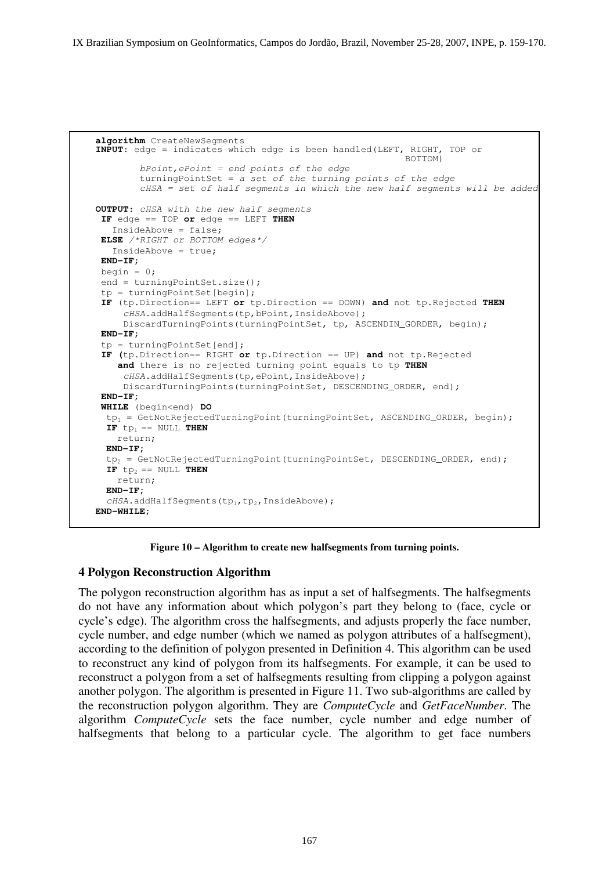```
algorithm CreateNewSegments
INPUT: edge = indicates which edge is been handled(LEFT, RIGHT, TOP or 
BOTTOM)
        bPoint, ePoint = end points of the edge
         turningPointSet = a set of the turning points of the edge 
         cHSA = set of half segments in which the new half segments will be added 
OUTPUT: cHSA with the new half segments 
 IF edge == TOP or edge == LEFT THEN
   InsideAbove = false; 
 ELSE /*RIGHT or BOTTOM edges*/ 
    InsideAbove = true; 
 END-IF;
 begin = 0; end = turningPointSet.size(); 
  tp = turningPointSet[begin]; 
 IF (tp.Direction== LEFT or tp.Direction == DOWN) and not tp.Rejected THEN
     cHSA.addHalfSeqments(tp,bPoint, InsideAbove);
      DiscardTurningPoints(turningPointSet, tp, ASCENDIN_GORDER, begin); 
 END-IF;
  tp = turningPointSet[end]; 
 IF (tp.Direction== RIGHT or tp.Direction == UP) and not tp.Rejected 
     and there is no rejected turning point equals to tp THEN
     cHSA.addHalfSegments(tp,ePoint, InsideAbove);
    DiscardTurningPoints(turningPointSet, DESCENDING_ORDER, end);
 END-IF; 
  WHILE (begin<end) DO 
  tp<sub>1</sub> = GetNotRejectedTurningPoint(turningPointSet, ASCENDING_ORDER, begin);
  IF tp_1 == NULL THEN
    return; 
 END-IF; 
  tp2 = GetNotRejectedTurningPoint(turningPointSet, DESCENDING_ORDER, end); 
  IF tp_2 == NULL THEN
    return; 
  END-IF; 
  cHSA.addHalfSegments(tp<sub>1</sub>,tp<sub>2</sub>, InsideAbove);
END-WHILE;
```
**Figure 10 – Algorithm to create new halfsegments from turning points.** 

## **4 Polygon Reconstruction Algorithm**

The polygon reconstruction algorithm has as input a set of halfsegments. The halfsegments do not have any information about which polygon's part they belong to (face, cycle or cycle's edge). The algorithm cross the halfsegments, and adjusts properly the face number, cycle number, and edge number (which we named as polygon attributes of a halfsegment), according to the definition of polygon presented in Definition 4. This algorithm can be used to reconstruct any kind of polygon from its halfsegments. For example, it can be used to reconstruct a polygon from a set of halfsegments resulting from clipping a polygon against another polygon. The algorithm is presented in Figure 11. Two sub-algorithms are called by the reconstruction polygon algorithm. They are *ComputeCycle* and *GetFaceNumber*. The algorithm *ComputeCycle* sets the face number, cycle number and edge number of halfsegments that belong to a particular cycle. The algorithm to get face numbers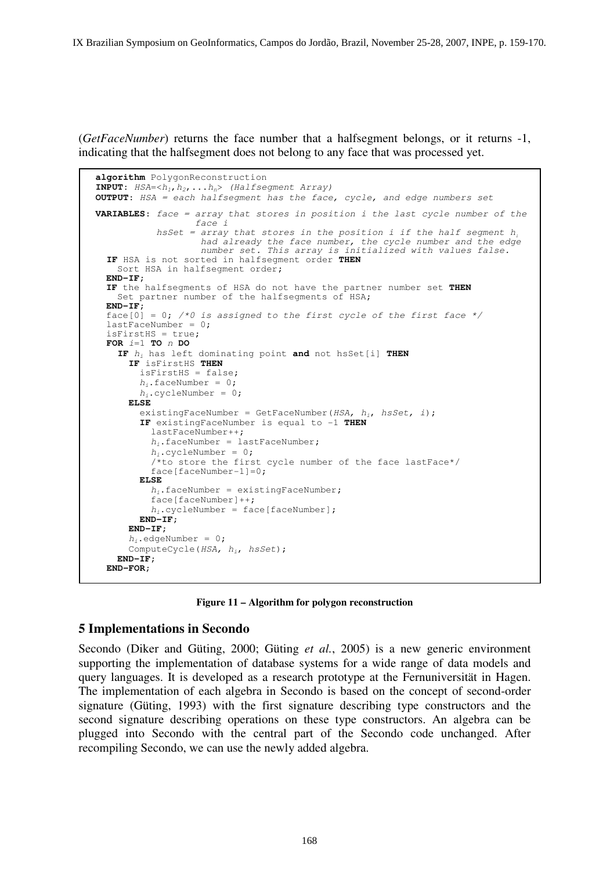(*GetFaceNumber*) returns the face number that a halfsegment belongs, or it returns -1, indicating that the halfsegment does not belong to any face that was processed yet.

```
algorithm PolygonReconstruction
INPUT: HSA = <h_1, h_2, \ldots, h_n> (Halfsegment Array)
OUTPUT: HSA = each halfsegment has the face, cycle, and edge numbers set 
VARIABLES: face = array that stores in position i the last cycle number of the 
                    face i 
           hsSet = array that stores in the position i if the half segment h_ihad already the face number, the cycle number and the edge
                     number set. This array is initialized with values false. 
   IF HSA is not sorted in halfsegment order THEN
    Sort HSA in halfseqment order;
  END-IF; 
  IF the halfsegments of HSA do not have the partner number set THEN
    Set partner number of the halfsegments of HSA;
  END-IF; 
  face[0] = 0; /*0 is assigned to the first cycle of the first face */
  lastFaceNumber = 0;isFirstHS = true; 
   FOR i=1 TO n DO
     IF hi has left dominating point and not hsSet[i] THEN
       IF isFirstHS THEN
         isFirstHS = false; 
        h_i.faceNumber = 0;
        h_i.cycleNumber = 0;
       ELSE 
        existingFaceNumber = GetFaceNumber(HSA, h_i, hsSet, i);
         IF existingFaceNumber is equal to -1 THEN 
           lastFaceNumber++; 
          h_i.faceNumber = lastFaceNumber;
          h_i.cycleNumber = 0;
          4<sup>*to</sup> store the first cycle number of the face lastFace*/
          face[faceNumber-1]=0; ELSE 
         h_i.faceNumber = existingFaceNumber;
           face[faceNumber]++; 
          h_i.cycleNumber = face[faceNumber];
         END-IF; 
       END-IF; 
      h_i.edgeNumber = 0;
      ComputeCycle(HSA, h_i, hsSet);
     END-IF; 
   END-FOR;
```
**Figure 11 – Algorithm for polygon reconstruction** 

## **5 Implementations in Secondo**

Secondo (Diker and Güting, 2000; Güting *et al.*, 2005) is a new generic environment supporting the implementation of database systems for a wide range of data models and query languages. It is developed as a research prototype at the Fernuniversität in Hagen. The implementation of each algebra in Secondo is based on the concept of second-order signature (Güting, 1993) with the first signature describing type constructors and the second signature describing operations on these type constructors. An algebra can be plugged into Secondo with the central part of the Secondo code unchanged. After recompiling Secondo, we can use the newly added algebra.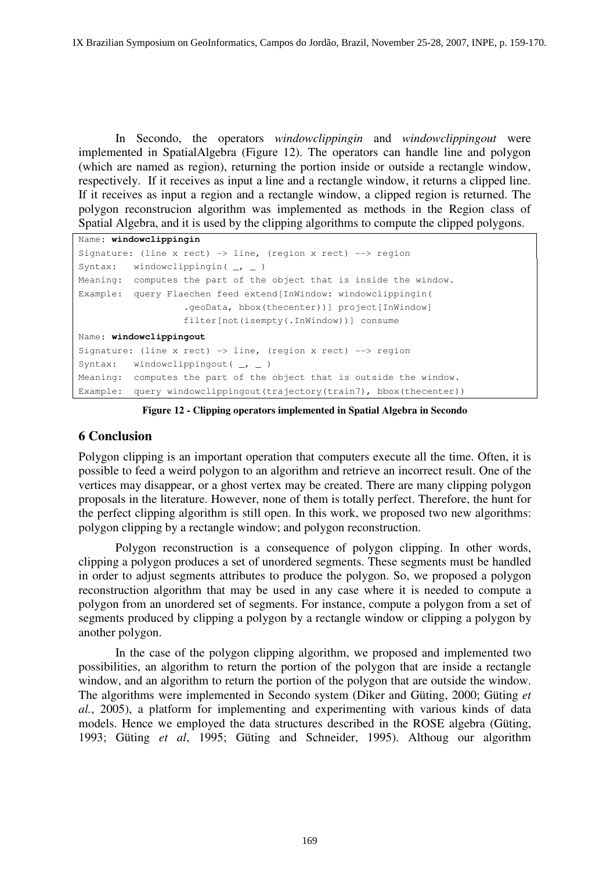In Secondo, the operators *windowclippingin* and *windowclippingout* were implemented in SpatialAlgebra (Figure 12). The operators can handle line and polygon (which are named as region), returning the portion inside or outside a rectangle window, respectively. If it receives as input a line and a rectangle window, it returns a clipped line. If it receives as input a region and a rectangle window, a clipped region is returned. The polygon reconstrucion algorithm was implemented as methods in the Region class of Spatial Algebra, and it is used by the clipping algorithms to compute the clipped polygons.

```
Name: windowclippingin
Signature: (line x rect) -> line, (region x rect) --> region 
Syntax: windowclippingin(\_, \_)
Meaning: computes the part of the object that is inside the window. 
Example: query Flaechen feed extend[InWindow: windowclippingin( 
                    .geoData, bbox(thecenter))] project[InWindow] 
                    filter[not(isempty(.InWindow))] consume 
Name: windowclippingout
Signature: (line x rect) -> line, (region x rect) --> region 
Syntax: windowclippingout (\_ \, - \)Meaning: computes the part of the object that is outside the window. 
Example: query windowclippingout(trajectory(train7), bbox(thecenter))
```
**Figure 12 - Clipping operators implemented in Spatial Algebra in Secondo** 

# **6 Conclusion**

Polygon clipping is an important operation that computers execute all the time. Often, it is possible to feed a weird polygon to an algorithm and retrieve an incorrect result. One of the vertices may disappear, or a ghost vertex may be created. There are many clipping polygon proposals in the literature. However, none of them is totally perfect. Therefore, the hunt for the perfect clipping algorithm is still open. In this work, we proposed two new algorithms: polygon clipping by a rectangle window; and polygon reconstruction.

Polygon reconstruction is a consequence of polygon clipping. In other words, clipping a polygon produces a set of unordered segments. These segments must be handled in order to adjust segments attributes to produce the polygon. So, we proposed a polygon reconstruction algorithm that may be used in any case where it is needed to compute a polygon from an unordered set of segments. For instance, compute a polygon from a set of segments produced by clipping a polygon by a rectangle window or clipping a polygon by another polygon.

In the case of the polygon clipping algorithm, we proposed and implemented two possibilities, an algorithm to return the portion of the polygon that are inside a rectangle window, and an algorithm to return the portion of the polygon that are outside the window. The algorithms were implemented in Secondo system (Diker and Güting, 2000; Güting *et al.*, 2005), a platform for implementing and experimenting with various kinds of data models. Hence we employed the data structures described in the ROSE algebra (Güting, 1993; Güting *et al*, 1995; Güting and Schneider, 1995). Althoug our algorithm